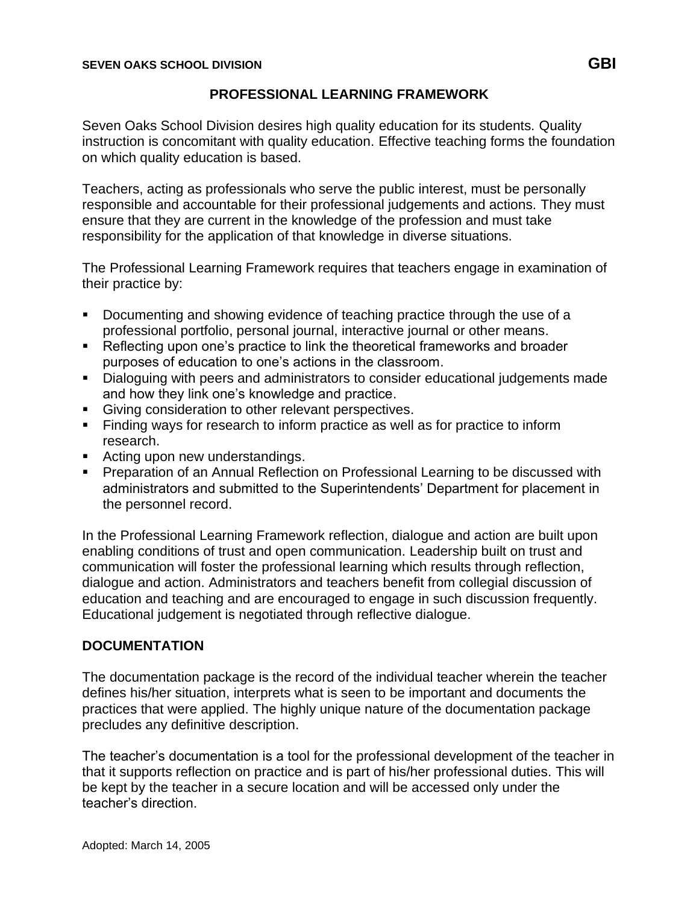### **PROFESSIONAL LEARNING FRAMEWORK**

Seven Oaks School Division desires high quality education for its students. Quality instruction is concomitant with quality education. Effective teaching forms the foundation on which quality education is based.

Teachers, acting as professionals who serve the public interest, must be personally responsible and accountable for their professional judgements and actions. They must ensure that they are current in the knowledge of the profession and must take responsibility for the application of that knowledge in diverse situations.

The Professional Learning Framework requires that teachers engage in examination of their practice by:

- Documenting and showing evidence of teaching practice through the use of a professional portfolio, personal journal, interactive journal or other means.
- Reflecting upon one's practice to link the theoretical frameworks and broader purposes of education to one's actions in the classroom.
- Dialoguing with peers and administrators to consider educational judgements made and how they link one's knowledge and practice.
- **EXECT:** Giving consideration to other relevant perspectives.
- Finding ways for research to inform practice as well as for practice to inform research.
- Acting upon new understandings.
- **Preparation of an Annual Reflection on Professional Learning to be discussed with** administrators and submitted to the Superintendents' Department for placement in the personnel record.

In the Professional Learning Framework reflection, dialogue and action are built upon enabling conditions of trust and open communication. Leadership built on trust and communication will foster the professional learning which results through reflection, dialogue and action. Administrators and teachers benefit from collegial discussion of education and teaching and are encouraged to engage in such discussion frequently. Educational judgement is negotiated through reflective dialogue.

### **DOCUMENTATION**

The documentation package is the record of the individual teacher wherein the teacher defines his/her situation, interprets what is seen to be important and documents the practices that were applied. The highly unique nature of the documentation package precludes any definitive description.

The teacher's documentation is a tool for the professional development of the teacher in that it supports reflection on practice and is part of his/her professional duties. This will be kept by the teacher in a secure location and will be accessed only under the teacher's direction.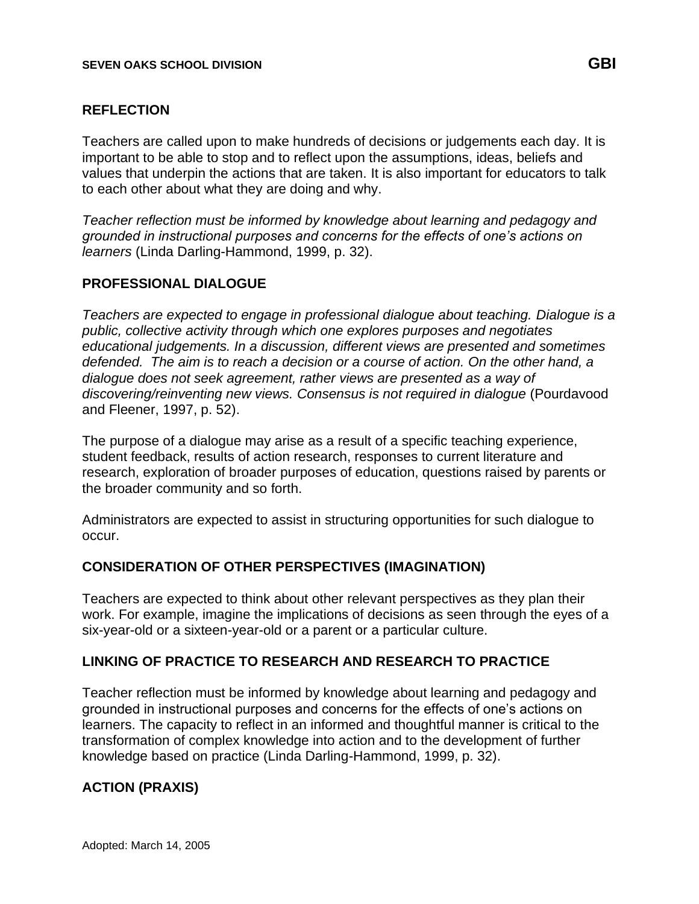### **REFLECTION**

Teachers are called upon to make hundreds of decisions or judgements each day. It is important to be able to stop and to reflect upon the assumptions, ideas, beliefs and values that underpin the actions that are taken. It is also important for educators to talk to each other about what they are doing and why.

*Teacher reflection must be informed by knowledge about learning and pedagogy and grounded in instructional purposes and concerns for the effects of one's actions on learners* (Linda Darling-Hammond, 1999, p. 32).

### **PROFESSIONAL DIALOGUE**

*Teachers are expected to engage in professional dialogue about teaching. Dialogue is a public, collective activity through which one explores purposes and negotiates educational judgements. In a discussion, different views are presented and sometimes defended. The aim is to reach a decision or a course of action. On the other hand, a dialogue does not seek agreement, rather views are presented as a way of discovering/reinventing new views. Consensus is not required in dialogue* (Pourdavood and Fleener, 1997, p. 52).

The purpose of a dialogue may arise as a result of a specific teaching experience, student feedback, results of action research, responses to current literature and research, exploration of broader purposes of education, questions raised by parents or the broader community and so forth.

Administrators are expected to assist in structuring opportunities for such dialogue to occur.

### **CONSIDERATION OF OTHER PERSPECTIVES (IMAGINATION)**

Teachers are expected to think about other relevant perspectives as they plan their work. For example, imagine the implications of decisions as seen through the eyes of a six-year-old or a sixteen-year-old or a parent or a particular culture.

# **LINKING OF PRACTICE TO RESEARCH AND RESEARCH TO PRACTICE**

Teacher reflection must be informed by knowledge about learning and pedagogy and grounded in instructional purposes and concerns for the effects of one's actions on learners. The capacity to reflect in an informed and thoughtful manner is critical to the transformation of complex knowledge into action and to the development of further knowledge based on practice (Linda Darling-Hammond, 1999, p. 32).

# **ACTION (PRAXIS)**